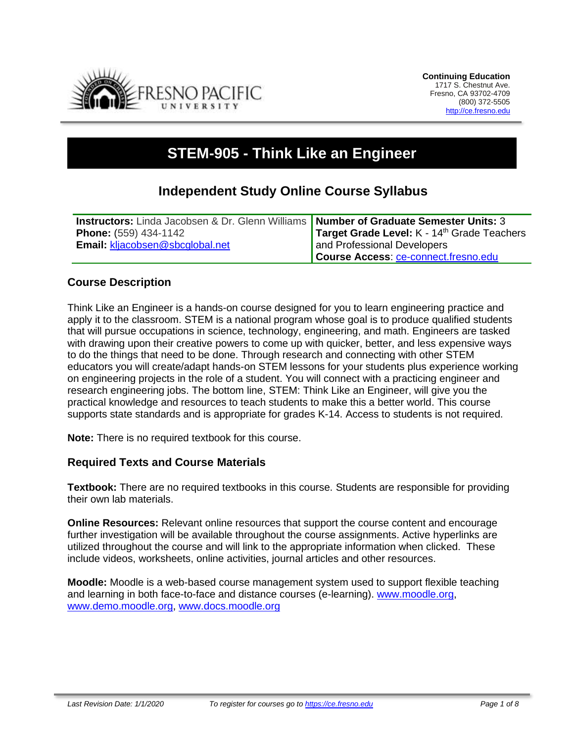

# **STEM-905 - Think Like an Engineer**

# **Independent Study Online Course Syllabus**

| <b>Instructors:</b> Linda Jacobsen & Dr. Glenn Williams <b>Number of Graduate Semester Units: 3</b> |                                                         |
|-----------------------------------------------------------------------------------------------------|---------------------------------------------------------|
| <b>Phone:</b> (559) 434-1142                                                                        | Target Grade Level: K - 14 <sup>th</sup> Grade Teachers |
| Email: kljacobsen@sbcglobal.net                                                                     | and Professional Developers                             |
|                                                                                                     | <b>Course Access: ce-connect.fresno.edu</b>             |

# **Course Description**

Think Like an Engineer is a hands-on course designed for you to learn engineering practice and apply it to the classroom. STEM is a national program whose goal is to produce qualified students that will pursue occupations in science, technology, engineering, and math. Engineers are tasked with drawing upon their creative powers to come up with quicker, better, and less expensive ways to do the things that need to be done. Through research and connecting with other STEM educators you will create/adapt hands-on STEM lessons for your students plus experience working on engineering projects in the role of a student. You will connect with a practicing engineer and research engineering jobs. The bottom line, STEM: Think Like an Engineer, will give you the practical knowledge and resources to teach students to make this a better world. This course supports state standards and is appropriate for grades K-14. Access to students is not required.

**Note:** There is no required textbook for this course.

#### **Required Texts and Course Materials**

**Textbook:** There are no required textbooks in this course. Students are responsible for providing their own lab materials.

**Online Resources:** Relevant online resources that support the course content and encourage further investigation will be available throughout the course assignments. Active hyperlinks are utilized throughout the course and will link to the appropriate information when clicked. These include videos, worksheets, online activities, journal articles and other resources.

**Moodle:** Moodle is a web-based course management system used to support flexible teaching and learning in both face-to-face and distance courses (e-learning). [www.moodle.org,](http://www.moodle.org/) [www.demo.moodle.org,](http://www.demo.moodle.org/) [www.docs.moodle.org](http://www.docs.moodle.org/)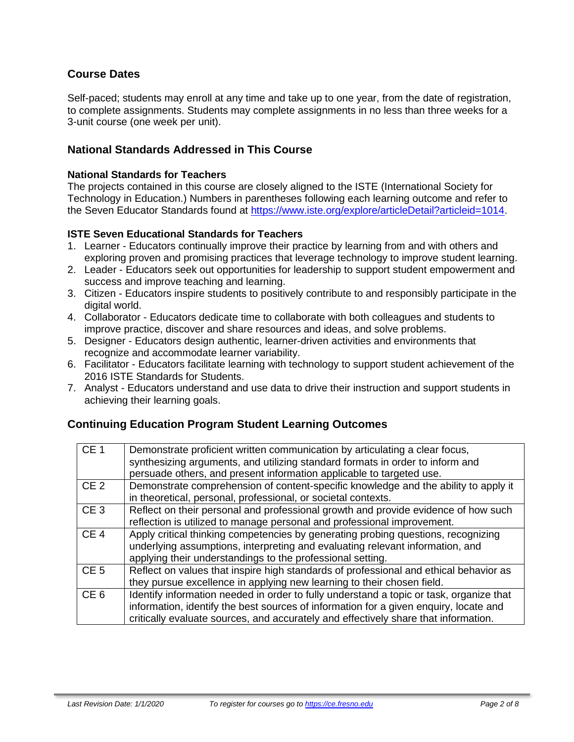# **Course Dates**

Self-paced; students may enroll at any time and take up to one year, from the date of registration, to complete assignments. Students may complete assignments in no less than three weeks for a 3-unit course (one week per unit).

### **National Standards Addressed in This Course**

#### **National Standards for Teachers**

The projects contained in this course are closely aligned to the ISTE (International Society for Technology in Education.) Numbers in parentheses following each learning outcome and refer to the Seven Educator Standards found at [https://www.iste.org/explore/articleDetail?articleid=1014.](https://www.iste.org/explore/articleDetail?articleid=1014)

#### **ISTE Seven Educational Standards for Teachers**

- 1. Learner Educators continually improve their practice by learning from and with others and exploring proven and promising practices that leverage technology to improve student learning.
- 2. Leader Educators seek out opportunities for leadership to support student empowerment and success and improve teaching and learning.
- 3. Citizen Educators inspire students to positively contribute to and responsibly participate in the digital world.
- 4. Collaborator Educators dedicate time to collaborate with both colleagues and students to improve practice, discover and share resources and ideas, and solve problems.
- 5. Designer Educators design authentic, learner-driven activities and environments that recognize and accommodate learner variability.
- 6. Facilitator Educators facilitate learning with technology to support student achievement of the 2016 ISTE Standards for Students.
- 7. Analyst Educators understand and use data to drive their instruction and support students in achieving their learning goals.

# **Continuing Education Program Student Learning Outcomes**

| CE <sub>1</sub> | Demonstrate proficient written communication by articulating a clear focus,<br>synthesizing arguments, and utilizing standard formats in order to inform and<br>persuade others, and present information applicable to targeted use.                                    |
|-----------------|-------------------------------------------------------------------------------------------------------------------------------------------------------------------------------------------------------------------------------------------------------------------------|
| CE <sub>2</sub> | Demonstrate comprehension of content-specific knowledge and the ability to apply it<br>in theoretical, personal, professional, or societal contexts.                                                                                                                    |
| CE <sub>3</sub> | Reflect on their personal and professional growth and provide evidence of how such<br>reflection is utilized to manage personal and professional improvement.                                                                                                           |
| CE <sub>4</sub> | Apply critical thinking competencies by generating probing questions, recognizing<br>underlying assumptions, interpreting and evaluating relevant information, and<br>applying their understandings to the professional setting.                                        |
| CE <sub>5</sub> | Reflect on values that inspire high standards of professional and ethical behavior as<br>they pursue excellence in applying new learning to their chosen field.                                                                                                         |
| CE <sub>6</sub> | Identify information needed in order to fully understand a topic or task, organize that<br>information, identify the best sources of information for a given enquiry, locate and<br>critically evaluate sources, and accurately and effectively share that information. |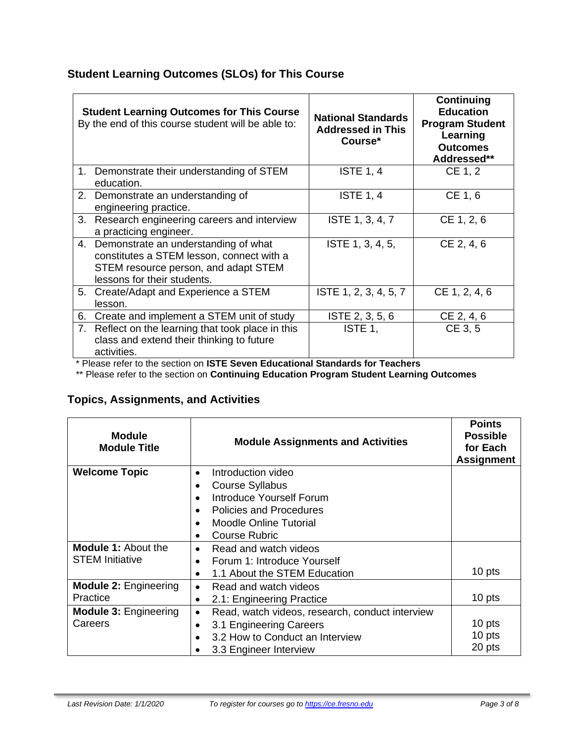# **Student Learning Outcomes (SLOs) for This Course**

|    | <b>Student Learning Outcomes for This Course</b><br>By the end of this course student will be able to:                                                   | <b>National Standards</b><br><b>Addressed in This</b><br>Course* | Continuing<br><b>Education</b><br><b>Program Student</b><br>Learning<br><b>Outcomes</b><br>Addressed** |
|----|----------------------------------------------------------------------------------------------------------------------------------------------------------|------------------------------------------------------------------|--------------------------------------------------------------------------------------------------------|
|    | 1. Demonstrate their understanding of STEM<br>education.                                                                                                 | <b>ISTE 1, 4</b>                                                 | CE 1, 2                                                                                                |
| 2. | Demonstrate an understanding of<br>engineering practice.                                                                                                 | <b>ISTE 1, 4</b>                                                 | CE 1, 6                                                                                                |
| 3. | Research engineering careers and interview<br>a practicing engineer.                                                                                     | ISTE 1, 3, 4, 7                                                  | CE 1, 2, 6                                                                                             |
| 4. | Demonstrate an understanding of what<br>constitutes a STEM lesson, connect with a<br>STEM resource person, and adapt STEM<br>lessons for their students. | ISTE 1, 3, 4, 5,                                                 | CE 2, 4, 6                                                                                             |
| 5. | Create/Adapt and Experience a STEM<br>lesson.                                                                                                            | ISTE 1, 2, 3, 4, 5, 7                                            | CE 1, 2, 4, 6                                                                                          |
| 6. | Create and implement a STEM unit of study                                                                                                                | ISTE 2, 3, 5, 6                                                  | CE 2, 4, 6                                                                                             |
| 7. | Reflect on the learning that took place in this<br>class and extend their thinking to future<br>activities.                                              | ISTE 1,                                                          | CE 3, 5                                                                                                |

\* Please refer to the section on **ISTE Seven Educational Standards for Teachers**

\*\* Please refer to the section on **Continuing Education Program Student Learning Outcomes**

# **Topics, Assignments, and Activities**

| <b>Module</b><br><b>Module Title</b> | <b>Module Assignments and Activities</b>                     | <b>Points</b><br><b>Possible</b><br>for Each<br><b>Assignment</b> |
|--------------------------------------|--------------------------------------------------------------|-------------------------------------------------------------------|
| <b>Welcome Topic</b>                 | Introduction video<br>$\bullet$                              |                                                                   |
|                                      | Course Syllabus<br>$\bullet$                                 |                                                                   |
|                                      | Introduce Yourself Forum<br>$\bullet$                        |                                                                   |
|                                      | <b>Policies and Procedures</b><br>$\bullet$                  |                                                                   |
|                                      | <b>Moodle Online Tutorial</b><br>$\bullet$                   |                                                                   |
|                                      | <b>Course Rubric</b><br>$\bullet$                            |                                                                   |
| <b>Module 1: About the</b>           | Read and watch videos<br>$\bullet$                           |                                                                   |
| <b>STEM Initiative</b>               | Forum 1: Introduce Yourself<br>$\bullet$                     |                                                                   |
|                                      | 1.1 About the STEM Education<br>$\bullet$                    | 10 pts                                                            |
| <b>Module 2: Engineering</b>         | Read and watch videos<br>$\bullet$                           |                                                                   |
| Practice                             | 2.1: Engineering Practice<br>$\bullet$                       | 10 pts                                                            |
| <b>Module 3: Engineering</b>         | Read, watch videos, research, conduct interview<br>$\bullet$ |                                                                   |
| Careers                              | 3.1 Engineering Careers<br>$\bullet$                         | 10 pts                                                            |
|                                      | 3.2 How to Conduct an Interview<br>$\bullet$                 | 10 pts                                                            |
|                                      | 3.3 Engineer Interview                                       | 20 pts                                                            |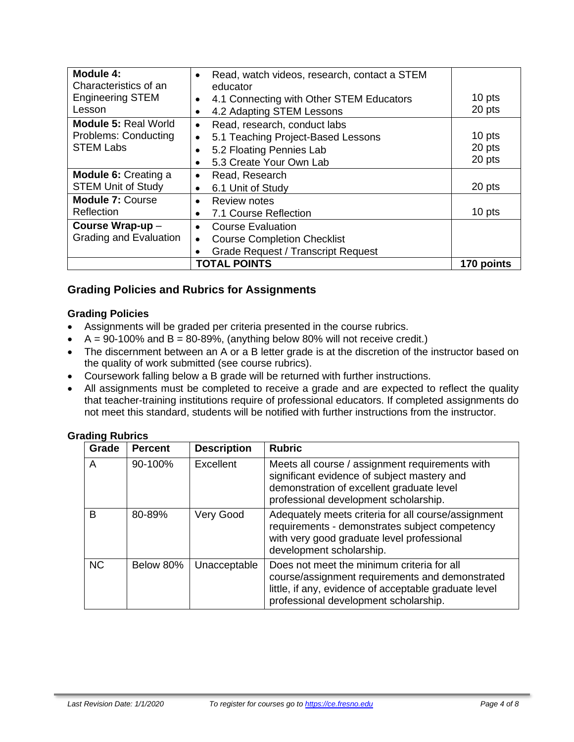| Module 4:<br>Characteristics of an                     | Read, watch videos, research, contact a STEM<br>$\bullet$<br>educator |            |
|--------------------------------------------------------|-----------------------------------------------------------------------|------------|
| <b>Engineering STEM</b>                                | 4.1 Connecting with Other STEM Educators<br>$\bullet$                 | 10 pts     |
| Lesson                                                 | 4.2 Adapting STEM Lessons<br>$\bullet$                                | 20 pts     |
| <b>Module 5: Real World</b>                            | Read, research, conduct labs<br>$\bullet$                             |            |
| Problems: Conducting                                   | 5.1 Teaching Project-Based Lessons<br>$\bullet$                       | 10 pts     |
| <b>STEM Labs</b>                                       | 5.2 Floating Pennies Lab<br>$\bullet$                                 | 20 pts     |
|                                                        | 5.3 Create Your Own Lab<br>$\bullet$                                  | 20 pts     |
| <b>Module 6: Creating a</b>                            | Read, Research<br>$\bullet$                                           |            |
| <b>STEM Unit of Study</b>                              | 6.1 Unit of Study<br>$\bullet$                                        | 20 pts     |
| <b>Module 7: Course</b>                                | Review notes<br>$\bullet$                                             |            |
| Reflection                                             | 7.1 Course Reflection<br>$\bullet$                                    | 10 pts     |
| Course Wrap-up -                                       | <b>Course Evaluation</b><br>$\bullet$                                 |            |
| <b>Grading and Evaluation</b>                          | <b>Course Completion Checklist</b><br>$\bullet$                       |            |
| <b>Grade Request / Transcript Request</b><br>$\bullet$ |                                                                       |            |
|                                                        | <b>TOTAL POINTS</b>                                                   | 170 points |

# **Grading Policies and Rubrics for Assignments**

#### **Grading Policies**

- Assignments will be graded per criteria presented in the course rubrics.
- $A = 90-100\%$  and  $B = 80-89\%$ , (anything below 80% will not receive credit.)
- The discernment between an A or a B letter grade is at the discretion of the instructor based on the quality of work submitted (see course rubrics).
- Coursework falling below a B grade will be returned with further instructions.
- All assignments must be completed to receive a grade and are expected to reflect the quality that teacher-training institutions require of professional educators. If completed assignments do not meet this standard, students will be notified with further instructions from the instructor.

#### **Grading Rubrics**

| Grade     | <b>Percent</b> | <b>Description</b> | <b>Rubric</b>                                                                                                                                                                                   |
|-----------|----------------|--------------------|-------------------------------------------------------------------------------------------------------------------------------------------------------------------------------------------------|
| A         | 90-100%        | Excellent          | Meets all course / assignment requirements with<br>significant evidence of subject mastery and<br>demonstration of excellent graduate level<br>professional development scholarship.            |
| B         | 80-89%         | Very Good          | Adequately meets criteria for all course/assignment<br>requirements - demonstrates subject competency<br>with very good graduate level professional<br>development scholarship.                 |
| <b>NC</b> | Below 80%      | Unacceptable       | Does not meet the minimum criteria for all<br>course/assignment requirements and demonstrated<br>little, if any, evidence of acceptable graduate level<br>professional development scholarship. |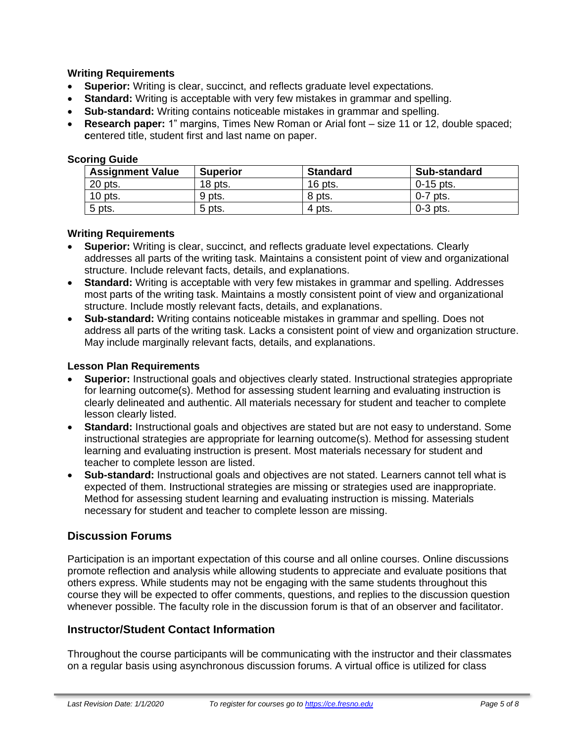#### **Writing Requirements**

- **Superior:** Writing is clear, succinct, and reflects graduate level expectations.
- **Standard:** Writing is acceptable with very few mistakes in grammar and spelling.
- **Sub-standard:** Writing contains noticeable mistakes in grammar and spelling.
- **Research paper:** 1" margins, Times New Roman or Arial font size 11 or 12, double spaced; **c**entered title, student first and last name on paper.

#### **Scoring Guide**

| <b>Assignment Value</b> | <b>Superior</b> | <b>Standard</b> | <b>Sub-standard</b> |
|-------------------------|-----------------|-----------------|---------------------|
| 20 pts.                 | $18$ pts.       | 16 pts.         | $0-15$ pts.         |
| $10$ pts.               | 9 pts.          | 8 pts.          | $0-7$ pts.          |
| 5 pts.                  | 5 pts.          | 4 pts.          | $0-3$ pts.          |

#### **Writing Requirements**

- **Superior:** Writing is clear, succinct, and reflects graduate level expectations. Clearly addresses all parts of the writing task. Maintains a consistent point of view and organizational structure. Include relevant facts, details, and explanations.
- **Standard:** Writing is acceptable with very few mistakes in grammar and spelling. Addresses most parts of the writing task. Maintains a mostly consistent point of view and organizational structure. Include mostly relevant facts, details, and explanations.
- **Sub-standard:** Writing contains noticeable mistakes in grammar and spelling. Does not address all parts of the writing task. Lacks a consistent point of view and organization structure. May include marginally relevant facts, details, and explanations.

#### **Lesson Plan Requirements**

- **Superior:** Instructional goals and objectives clearly stated. Instructional strategies appropriate for learning outcome(s). Method for assessing student learning and evaluating instruction is clearly delineated and authentic. All materials necessary for student and teacher to complete lesson clearly listed.
- **Standard:** Instructional goals and objectives are stated but are not easy to understand. Some instructional strategies are appropriate for learning outcome(s). Method for assessing student learning and evaluating instruction is present. Most materials necessary for student and teacher to complete lesson are listed.
- **Sub-standard:** Instructional goals and objectives are not stated. Learners cannot tell what is expected of them. Instructional strategies are missing or strategies used are inappropriate. Method for assessing student learning and evaluating instruction is missing. Materials necessary for student and teacher to complete lesson are missing.

# **Discussion Forums**

Participation is an important expectation of this course and all online courses. Online discussions promote reflection and analysis while allowing students to appreciate and evaluate positions that others express. While students may not be engaging with the same students throughout this course they will be expected to offer comments, questions, and replies to the discussion question whenever possible. The faculty role in the discussion forum is that of an observer and facilitator.

# **Instructor/Student Contact Information**

Throughout the course participants will be communicating with the instructor and their classmates on a regular basis using asynchronous discussion forums. A virtual office is utilized for class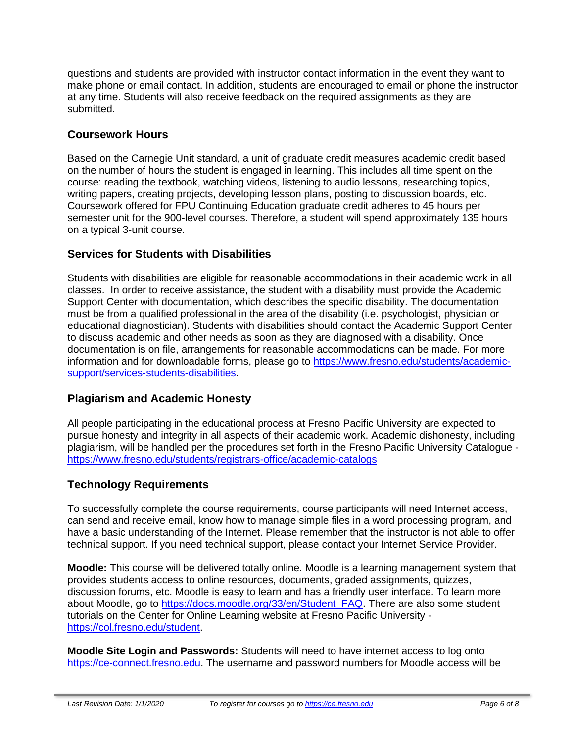questions and students are provided with instructor contact information in the event they want to make phone or email contact. In addition, students are encouraged to email or phone the instructor at any time. Students will also receive feedback on the required assignments as they are submitted.

# **Coursework Hours**

Based on the Carnegie Unit standard, a unit of graduate credit measures academic credit based on the number of hours the student is engaged in learning. This includes all time spent on the course: reading the textbook, watching videos, listening to audio lessons, researching topics, writing papers, creating projects, developing lesson plans, posting to discussion boards, etc. Coursework offered for FPU Continuing Education graduate credit adheres to 45 hours per semester unit for the 900-level courses. Therefore, a student will spend approximately 135 hours on a typical 3-unit course.

# **Services for Students with Disabilities**

Students with disabilities are eligible for reasonable accommodations in their academic work in all classes. In order to receive assistance, the student with a disability must provide the Academic Support Center with documentation, which describes the specific disability. The documentation must be from a qualified professional in the area of the disability (i.e. psychologist, physician or educational diagnostician). Students with disabilities should contact the Academic Support Center to discuss academic and other needs as soon as they are diagnosed with a disability. Once documentation is on file, arrangements for reasonable accommodations can be made. For more information and for downloadable forms, please go to [https://www.fresno.edu/students/academic](https://www.fresno.edu/students/academic-support/services-students-disabilities)[support/services-students-disabilities.](https://www.fresno.edu/students/academic-support/services-students-disabilities)

# **Plagiarism and Academic Honesty**

All people participating in the educational process at Fresno Pacific University are expected to pursue honesty and integrity in all aspects of their academic work. Academic dishonesty, including plagiarism, will be handled per the procedures set forth in the Fresno Pacific University Catalogue <https://www.fresno.edu/students/registrars-office/academic-catalogs>

# **Technology Requirements**

To successfully complete the course requirements, course participants will need Internet access, can send and receive email, know how to manage simple files in a word processing program, and have a basic understanding of the Internet. Please remember that the instructor is not able to offer technical support. If you need technical support, please contact your Internet Service Provider.

**Moodle:** This course will be delivered totally online. Moodle is a learning management system that provides students access to online resources, documents, graded assignments, quizzes, discussion forums, etc. Moodle is easy to learn and has a friendly user interface. To learn more about Moodle, go to [https://docs.moodle.org/33/en/Student\\_FAQ.](https://docs.moodle.org/33/en/Student_FAQ) There are also some student tutorials on the Center for Online Learning website at Fresno Pacific University [https://col.fresno.edu/student.](https://col.fresno.edu/student)

**Moodle Site Login and Passwords:** Students will need to have internet access to log onto [https://ce-connect.fresno.edu.](https://ce-connect.fresno.edu/) The username and password numbers for Moodle access will be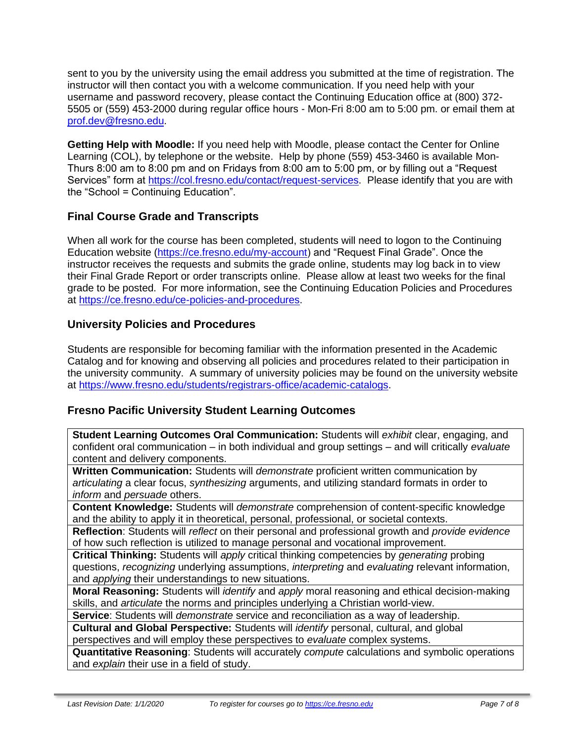sent to you by the university using the email address you submitted at the time of registration. The instructor will then contact you with a welcome communication. If you need help with your username and password recovery, please contact the Continuing Education office at (800) 372- 5505 or (559) 453-2000 during regular office hours - Mon-Fri 8:00 am to 5:00 pm. or email them at [prof.dev@fresno.edu.](mailto:prof.dev@fresno.edu)

**Getting Help with Moodle:** If you need help with Moodle, please contact the Center for Online Learning (COL), by telephone or the website. Help by phone (559) 453-3460 is available Mon-Thurs 8:00 am to 8:00 pm and on Fridays from 8:00 am to 5:00 pm, or by filling out a "Request Services" form at [https://col.fresno.edu/contact/request-services.](https://col.fresno.edu/contact/request-services) Please identify that you are with the "School = Continuing Education".

# **Final Course Grade and Transcripts**

When all work for the course has been completed, students will need to logon to the Continuing Education website [\(https://ce.fresno.edu/my-account\)](https://ce.fresno.edu/my-account) and "Request Final Grade". Once the instructor receives the requests and submits the grade online, students may log back in to view their Final Grade Report or order transcripts online. Please allow at least two weeks for the final grade to be posted. For more information, see the Continuing Education Policies and Procedures at [https://ce.fresno.edu/ce-policies-and-procedures.](https://ce.fresno.edu/ce-policies-and-procedures)

# **University Policies and Procedures**

Students are responsible for becoming familiar with the information presented in the Academic Catalog and for knowing and observing all policies and procedures related to their participation in the university community. A summary of university policies may be found on the university website at [https://www.fresno.edu/students/registrars-office/academic-catalogs.](https://www.fresno.edu/students/registrars-office/academic-catalogs)

# **Fresno Pacific University Student Learning Outcomes**

**Student Learning Outcomes Oral Communication:** Students will *exhibit* clear, engaging, and confident oral communication – in both individual and group settings – and will critically *evaluate*  content and delivery components.

**Written Communication:** Students will *demonstrate* proficient written communication by *articulating* a clear focus, *synthesizing* arguments, and utilizing standard formats in order to *inform* and *persuade* others.

**Content Knowledge:** Students will *demonstrate* comprehension of content-specific knowledge and the ability to apply it in theoretical, personal, professional, or societal contexts.

**Reflection**: Students will *reflect* on their personal and professional growth and *provide evidence*  of how such reflection is utilized to manage personal and vocational improvement.

**Critical Thinking:** Students will *apply* critical thinking competencies by *generating* probing questions, *recognizing* underlying assumptions, *interpreting* and *evaluating* relevant information, and *applying* their understandings to new situations.

**Moral Reasoning:** Students will *identify* and *apply* moral reasoning and ethical decision-making skills, and *articulate* the norms and principles underlying a Christian world-view.

**Service**: Students will *demonstrate* service and reconciliation as a way of leadership.

**Cultural and Global Perspective:** Students will *identify* personal, cultural, and global perspectives and will employ these perspectives to *evaluate* complex systems.

**Quantitative Reasoning**: Students will accurately *compute* calculations and symbolic operations and *explain* their use in a field of study.